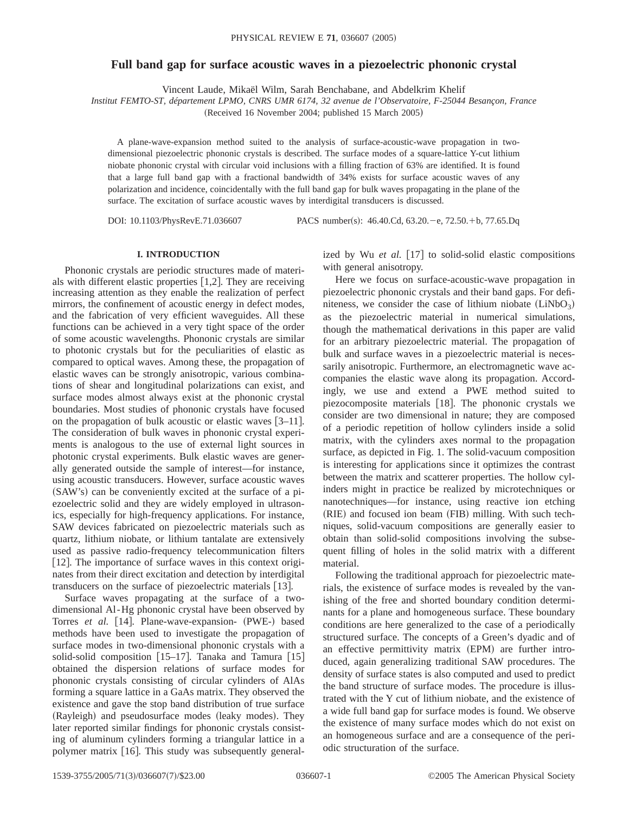# **Full band gap for surface acoustic waves in a piezoelectric phononic crystal**

Vincent Laude, Mikaël Wilm, Sarah Benchabane, and Abdelkrim Khelif

*Institut FEMTO-ST, département LPMO, CNRS UMR 6174, 32 avenue de l'Observatoire, F-25044 Besançon, France*

(Received 16 November 2004; published 15 March 2005)

A plane-wave-expansion method suited to the analysis of surface-acoustic-wave propagation in twodimensional piezoelectric phononic crystals is described. The surface modes of a square-lattice Y-cut lithium niobate phononic crystal with circular void inclusions with a filling fraction of 63% are identified. It is found that a large full band gap with a fractional bandwidth of 34% exists for surface acoustic waves of any polarization and incidence, coincidentally with the full band gap for bulk waves propagating in the plane of the surface. The excitation of surface acoustic waves by interdigital transducers is discussed.

DOI: 10.1103/PhysRevE.71.036607 PACS number(s): 46.40.Cd, 63.20. - e, 72.50. + b, 77.65.Dq

## **I. INTRODUCTION**

Phononic crystals are periodic structures made of materials with different elastic properties  $[1,2]$ . They are receiving increasing attention as they enable the realization of perfect mirrors, the confinement of acoustic energy in defect modes, and the fabrication of very efficient waveguides. All these functions can be achieved in a very tight space of the order of some acoustic wavelengths. Phononic crystals are similar to photonic crystals but for the peculiarities of elastic as compared to optical waves. Among these, the propagation of elastic waves can be strongly anisotropic, various combinations of shear and longitudinal polarizations can exist, and surface modes almost always exist at the phononic crystal boundaries. Most studies of phononic crystals have focused on the propagation of bulk acoustic or elastic waves  $\lceil 3-11 \rceil$ . The consideration of bulk waves in phononic crystal experiments is analogous to the use of external light sources in photonic crystal experiments. Bulk elastic waves are generally generated outside the sample of interest—for instance, using acoustic transducers. However, surface acoustic waves (SAW's) can be conveniently excited at the surface of a piezoelectric solid and they are widely employed in ultrasonics, especially for high-frequency applications. For instance, SAW devices fabricated on piezoelectric materials such as quartz, lithium niobate, or lithium tantalate are extensively used as passive radio-frequency telecommunication filters [12]. The importance of surface waves in this context originates from their direct excitation and detection by interdigital transducers on the surface of piezoelectric materials [13].

Surface waves propagating at the surface of a twodimensional Al-Hg phononic crystal have been observed by Torres *et al.* [14]. Plane-wave-expansion- (PWE-) based methods have been used to investigate the propagation of surface modes in two-dimensional phononic crystals with a solid-solid composition  $[15-17]$ . Tanaka and Tamura  $[15]$ obtained the dispersion relations of surface modes for phononic crystals consisting of circular cylinders of AlAs forming a square lattice in a GaAs matrix. They observed the existence and gave the stop band distribution of true surface (Rayleigh) and pseudosurface modes (leaky modes). They later reported similar findings for phononic crystals consisting of aluminum cylinders forming a triangular lattice in a polymer matrix [16]. This study was subsequently generalized by Wu *et al.* [17] to solid-solid elastic compositions with general anisotropy.

Here we focus on surface-acoustic-wave propagation in piezoelectric phononic crystals and their band gaps. For definiteness, we consider the case of lithium niobate  $(LiNbO<sub>3</sub>)$ as the piezoelectric material in numerical simulations, though the mathematical derivations in this paper are valid for an arbitrary piezoelectric material. The propagation of bulk and surface waves in a piezoelectric material is necessarily anisotropic. Furthermore, an electromagnetic wave accompanies the elastic wave along its propagation. Accordingly, we use and extend a PWE method suited to piezocomposite materials [18]. The phononic crystals we consider are two dimensional in nature; they are composed of a periodic repetition of hollow cylinders inside a solid matrix, with the cylinders axes normal to the propagation surface, as depicted in Fig. 1. The solid-vacuum composition is interesting for applications since it optimizes the contrast between the matrix and scatterer properties. The hollow cylinders might in practice be realized by microtechniques or nanotechniques—for instance, using reactive ion etching (RIE) and focused ion beam (FIB) milling. With such techniques, solid-vacuum compositions are generally easier to obtain than solid-solid compositions involving the subsequent filling of holes in the solid matrix with a different material.

Following the traditional approach for piezoelectric materials, the existence of surface modes is revealed by the vanishing of the free and shorted boundary condition determinants for a plane and homogeneous surface. These boundary conditions are here generalized to the case of a periodically structured surface. The concepts of a Green's dyadic and of an effective permittivity matrix (EPM) are further introduced, again generalizing traditional SAW procedures. The density of surface states is also computed and used to predict the band structure of surface modes. The procedure is illustrated with the Y cut of lithium niobate, and the existence of a wide full band gap for surface modes is found. We observe the existence of many surface modes which do not exist on an homogeneous surface and are a consequence of the periodic structuration of the surface.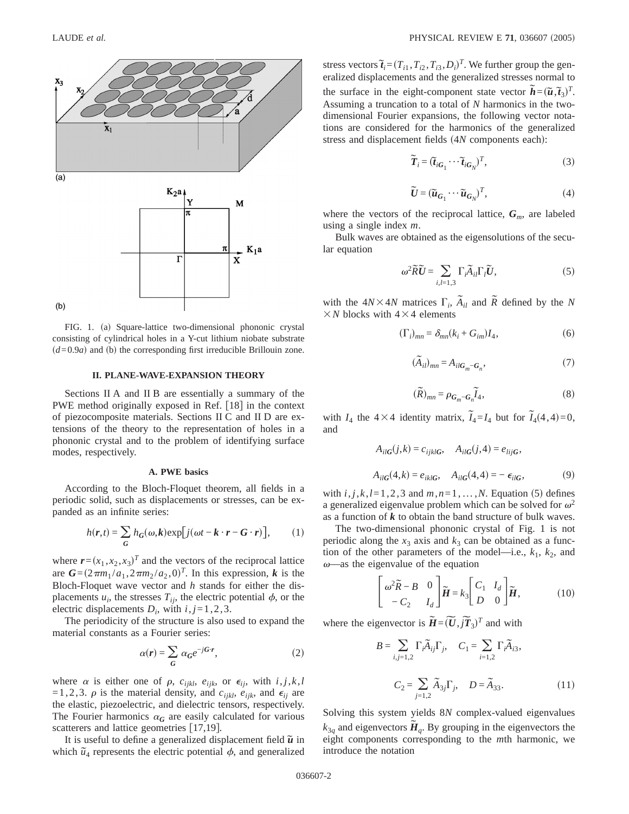

FIG. 1. (a) Square-lattice two-dimensional phononic crystal consisting of cylindrical holes in a Y-cut lithium niobate substrate  $(d=0.9a)$  and (b) the corresponding first irreducible Brillouin zone.

### **II. PLANE-WAVE-EXPANSION THEORY**

Sections II A and II B are essentially a summary of the PWE method originally exposed in Ref. [18] in the context of piezocomposite materials. Sections II C and II D are extensions of the theory to the representation of holes in a phononic crystal and to the problem of identifying surface modes, respectively.

### **A. PWE basics**

According to the Bloch-Floquet theorem, all fields in a periodic solid, such as displacements or stresses, can be expanded as an infinite series:

$$
h(\mathbf{r},t) = \sum_{\mathbf{G}} h_{\mathbf{G}}(\omega,\mathbf{k}) \exp[j(\omega t - \mathbf{k} \cdot \mathbf{r} - \mathbf{G} \cdot \mathbf{r})], \qquad (1)
$$

where  $\mathbf{r} = (x_1, x_2, x_3)^T$  and the vectors of the reciprocal lattice are  $G = (2\pi m_1 / a_1, 2\pi m_2 / a_2, 0)^T$ . In this expression, *k* is the Bloch-Floquet wave vector and *h* stands for either the displacements  $u_i$ , the stresses  $T_{ij}$ , the electric potential  $\phi$ , or the electric displacements  $D_i$ , with  $i, j = 1, 2, 3$ .

The periodicity of the structure is also used to expand the material constants as a Fourier series:

$$
\alpha(r) = \sum_{G} \alpha_G e^{-jG \cdot r},\tag{2}
$$

where  $\alpha$  is either one of  $\rho$ ,  $c_{ijkl}$ ,  $e_{ijk}$ , or  $\epsilon_{ij}$ , with  $i, j, k, l$ =1,2,3.  $\rho$  is the material density, and  $c_{ijkl}$ ,  $e_{ijk}$ , and  $\epsilon_{ij}$  are the elastic, piezoelectric, and dielectric tensors, respectively. The Fourier harmonics  $\alpha_G$  are easily calculated for various scatterers and lattice geometries  $[17,19]$ .

It is useful to define a generalized displacement field  $\tilde{u}$  in which  $\tilde{u}_4$  represents the electric potential  $\phi$ , and generalized

stress vectors  $\tilde{\mathbf{I}}_i = (T_{i1}, T_{i2}, T_{i3}, D_i)^T$ . We further group the generalized displacements and the generalized stresses normal to the surface in the eight-component state vector  $\tilde{h} = (\tilde{u}, \tilde{t}_3)^T$ . Assuming a truncation to a total of *N* harmonics in the twodimensional Fourier expansions, the following vector notations are considered for the harmonics of the generalized stress and displacement fields (4*N* components each):

$$
\widetilde{T}_i = (\widetilde{t}_{iG_1} \cdots \widetilde{t}_{iG_N})^T, \tag{3}
$$

$$
\widetilde{\boldsymbol{U}} = (\widetilde{\boldsymbol{u}}_{G_1} \cdots \widetilde{\boldsymbol{u}}_{G_N})^T, \tag{4}
$$

where the vectors of the reciprocal lattice,  $G_m$ , are labeled using a single index *m*.

Bulk waves are obtained as the eigensolutions of the secular equation

$$
\omega^2 \widetilde{R} \widetilde{U} = \sum_{i,l=1,3} \Gamma_i \widetilde{A}_{il} \Gamma_l \widetilde{U}, \qquad (5)
$$

with the  $4N\times4N$  matrices  $\Gamma_i$ ,  $\tilde{A}_{il}$  and  $\tilde{R}$  defined by the *N*  $\times$ *N* blocks with 4 $\times$ 4 elements

$$
(\Gamma_i)_{mn} = \delta_{mn}(k_i + G_{im})I_4,\tag{6}
$$

$$
(\widetilde{A}_{il})_{mn} = A_{ilG_m - G_n},\tag{7}
$$

$$
(\widetilde{R})_{mn} = \rho_{G_m - G_n} \widetilde{I}_4,
$$
\n(8)

with  $I_4$  the  $4 \times 4$  identity matrix,  $\tilde{I}_4 = I_4$  but for  $\tilde{I}_4(4,4) = 0$ , and

$$
A_{ilG}(j,k) = c_{ijklG}, \quad A_{ilG}(j,4) = e_{lijG},
$$
  

$$
A_{ilG}(4,k) = e_{iklG}, \quad A_{ilG}(4,4) = -\epsilon_{ilG},
$$
 (9)

with  $i, j, k, l = 1, 2, 3$  and  $m, n = 1, \ldots, N$ . Equation (5) defines a generalized eigenvalue problem which can be solved for  $\omega^2$ as a function of *k* to obtain the band structure of bulk waves.

The two-dimensional phononic crystal of Fig. 1 is not periodic along the  $x_3$  axis and  $k_3$  can be obtained as a function of the other parameters of the model—i.e.,  $k_1$ ,  $k_2$ , and  $\omega$ —as the eigenvalue of the equation

$$
\begin{bmatrix} \omega^2 \tilde{R} - B & 0 \\ -C_2 & I_d \end{bmatrix} \tilde{H} = k_3 \begin{bmatrix} C_1 & I_d \\ D & 0 \end{bmatrix} \tilde{H},
$$
(10)

where the eigenvector is  $\tilde{H} = (\tilde{U}, j\tilde{T}_3)^T$  and with

$$
B = \sum_{i,j=1,2} \Gamma_i \tilde{A}_{ij} \Gamma_j, \quad C_1 = \sum_{i=1,2} \Gamma_i \tilde{A}_{i3},
$$

$$
C_2 = \sum_{j=1,2} \tilde{A}_{3j} \Gamma_j, \quad D = \tilde{A}_{33}. \tag{11}
$$

Solving this system yields 8*N* complex-valued eigenvalues  $k_{3q}$  and eigenvectors  $\tilde{H}_q$ . By grouping in the eigenvectors the eight components corresponding to the *m*th harmonic, we introduce the notation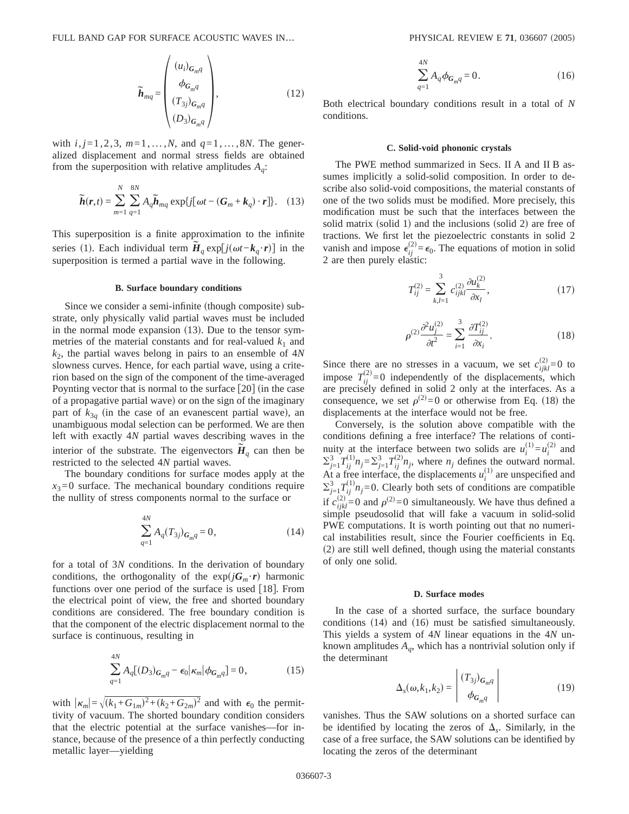FULL BAND GAP FOR SURFACE ACOUSTIC WAVES IN... PHYSICAL REVIEW E 71, 036607 (2005)

$$
\widetilde{\boldsymbol{h}}_{mq} = \begin{pmatrix} (u_i)_{G_{mq}} \\ \phi_{G_{mq}} \\ (T_{3j})_{G_{mq}} \\ (D_3)_{G_{mq}} \end{pmatrix}, \qquad (12)
$$

with  $i, j = 1, 2, 3, m = 1, ..., N$ , and  $q = 1, ..., 8N$ . The generalized displacement and normal stress fields are obtained from the superposition with relative amplitudes  $A_a$ :

$$
\widetilde{\boldsymbol{h}}(\boldsymbol{r},t) = \sum_{m=1}^{N} \sum_{q=1}^{8N} A_q \widetilde{\boldsymbol{h}}_{mq} \exp\{j[\omega t - (\boldsymbol{G}_m + \boldsymbol{k}_q) \cdot \boldsymbol{r}]\}.
$$
 (13)

This superposition is a finite approximation to the infinite series (1). Each individual term  $\tilde{H}_q \exp[j(\omega t - k_q \cdot r)]$  in the superposition is termed a partial wave in the following.

## **B. Surface boundary conditions**

Since we consider a semi-infinite (though composite) substrate, only physically valid partial waves must be included in the normal mode expansion  $(13)$ . Due to the tensor symmetries of the material constants and for real-valued  $k_1$  and  $k<sub>2</sub>$ , the partial waves belong in pairs to an ensemble of  $4*N*$ slowness curves. Hence, for each partial wave, using a criterion based on the sign of the component of the time-averaged Poynting vector that is normal to the surface  $[20]$  (in the case of a propagative partial wave) or on the sign of the imaginary part of  $k_{3q}$  (in the case of an evanescent partial wave), an unambiguous modal selection can be performed. We are then left with exactly 4*N* partial waves describing waves in the interior of the substrate. The eigenvectors  $\tilde{H}_q$  can then be restricted to the selected 4*N* partial waves.

The boundary conditions for surface modes apply at the  $x_3=0$  surface. The mechanical boundary conditions require the nullity of stress components normal to the surface or

$$
\sum_{q=1}^{4N} A_q(T_{3j})_{G_m q} = 0, \qquad (14)
$$

for a total of 3*N* conditions. In the derivation of boundary conditions, the orthogonality of the  $exp(jG_m \cdot r)$  harmonic functions over one period of the surface is used  $[18]$ . From the electrical point of view, the free and shorted boundary conditions are considered. The free boundary condition is that the component of the electric displacement normal to the surface is continuous, resulting in

$$
\sum_{q=1}^{4N} A_q [(D_3)_{G_m q} - \epsilon_0 |\kappa_m| \phi_{G_m q}] = 0, \qquad (15)
$$

with  $|\kappa_m| = \sqrt{(k_1 + G_{1m})^2 + (k_2 + G_{2m})^2}$  and with  $\epsilon_0$  the permittivity of vacuum. The shorted boundary condition considers that the electric potential at the surface vanishes—for instance, because of the presence of a thin perfectly conducting metallic layer—yielding

$$
\sum_{q=1}^{4N} A_q \phi_{G_m q} = 0.
$$
 (16)

Both electrical boundary conditions result in a total of *N* conditions.

#### **C. Solid-void phononic crystals**

The PWE method summarized in Secs. II A and II B assumes implicitly a solid-solid composition. In order to describe also solid-void compositions, the material constants of one of the two solids must be modified. More precisely, this modification must be such that the interfaces between the solid matrix (solid 1) and the inclusions (solid 2) are free of tractions. We first let the piezoelectric constants in solid 2 vanish and impose  $\epsilon_{ij}^{(2)} = \epsilon_0$ . The equations of motion in solid 2 are then purely elastic:

$$
T_{ij}^{(2)} = \sum_{k,l=1}^{3} c_{ijkl}^{(2)} \frac{\partial u_k^{(2)}}{\partial x_l},
$$
 (17)

$$
\rho^{(2)} \frac{\partial^2 u_i^{(2)}}{\partial t^2} = \sum_{i=1}^3 \frac{\partial T_{ij}^{(2)}}{\partial x_i}.
$$
\n(18)

Since there are no stresses in a vacuum, we set  $c_{ijkl}^{(2)} = 0$  to impose  $T_{ij}^{(2)}=0$  independently of the displacements, which are precisely defined in solid 2 only at the interfaces. As a consequence, we set  $\rho^{(2)} = 0$  or otherwise from Eq. (18) the displacements at the interface would not be free.

Conversely, is the solution above compatible with the conditions defining a free interface? The relations of continuity at the interface between two solids are  $u_i^{(1)} = u_i^{(2)}$  and  $\sum_{j=1}^{3} T_{ij}^{(1)} n_j = \sum_{j=1}^{3} T_{ij}^{(2)} n_j$ , where  $n_j$  defines the outward normal. At a free interface, the displacements  $u_i^{(1)}$  are unspecified and  $\sum_{j=1}^{3} T_{ij}^{(1)} n_j = 0$ . Clearly both sets of conditions are compatible if  $c_{ijkl}^{(2)} = 0$  and  $\rho^{(2)} = 0$  simultaneously. We have thus defined a simple pseudosolid that will fake a vacuum in solid-solid PWE computations. It is worth pointing out that no numerical instabilities result, since the Fourier coefficients in Eq.  $(2)$  are still well defined, though using the material constants of only one solid.

### **D. Surface modes**

In the case of a shorted surface, the surface boundary conditions  $(14)$  and  $(16)$  must be satisfied simultaneously. This yields a system of 4*N* linear equations in the 4*N* unknown amplitudes  $A_q$ , which has a nontrivial solution only if the determinant

$$
\Delta_{s}(\omega, k_{1}, k_{2}) = \begin{vmatrix} (T_{3j})_{G_{m}q} \\ \phi_{G_{m}q} \end{vmatrix}
$$
 (19)

vanishes. Thus the SAW solutions on a shorted surface can be identified by locating the zeros of  $\Delta_{s}$ . Similarly, in the case of a free surface, the SAW solutions can be identified by locating the zeros of the determinant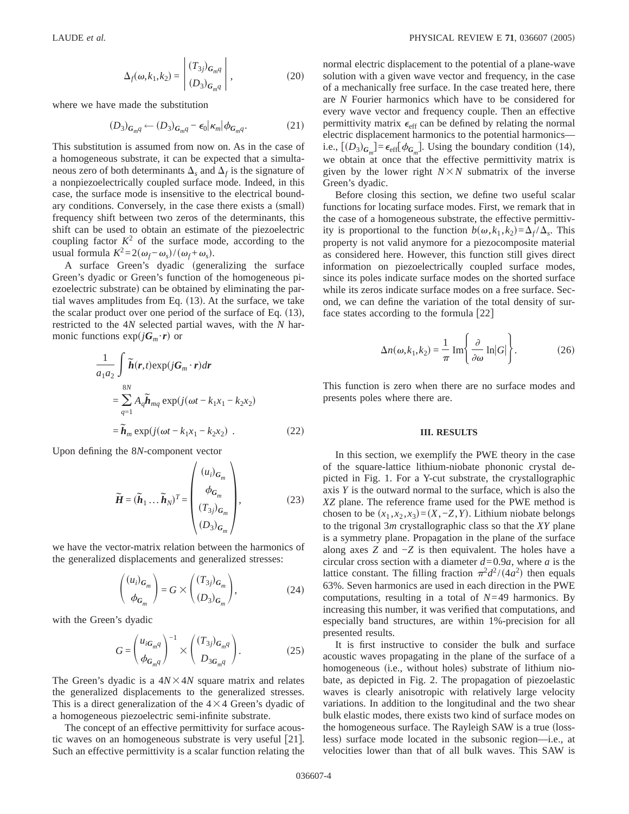$$
\Delta_f(\omega, k_1, k_2) = \begin{vmatrix} (T_{3j})_{G_m q} \\ (D_3)_{G_m q} \end{vmatrix},
$$
 (20)

where we have made the substitution

$$
(D_3)_{G_m q} \leftarrow (D_3)_{G_m q} - \epsilon_0 |\kappa_m| \phi_{G_m q}.
$$
 (21)

This substitution is assumed from now on. As in the case of a homogeneous substrate, it can be expected that a simultaneous zero of both determinants  $\Delta$ <sub>s</sub> and  $\Delta$ <sub>f</sub> is the signature of a nonpiezoelectrically coupled surface mode. Indeed, in this case, the surface mode is insensitive to the electrical boundary conditions. Conversely, in the case there exists a (small) frequency shift between two zeros of the determinants, this shift can be used to obtain an estimate of the piezoelectric coupling factor  $K^2$  of the surface mode, according to the usual formula  $K^2 = 2(\omega_f - \omega_s)/(\omega_f + \omega_s)$ .

A surface Green's dyadic (generalizing the surface Green's dyadic or Green's function of the homogeneous piezoelectric substrate) can be obtained by eliminating the partial waves amplitudes from Eq.  $(13)$ . At the surface, we take the scalar product over one period of the surface of Eq.  $(13)$ , restricted to the 4*N* selected partial waves, with the *N* harmonic functions  $exp(jG_m \cdot r)$  or

$$
\frac{1}{a_1 a_2} \int \tilde{\boldsymbol{h}}(\boldsymbol{r}, t) \exp(j\boldsymbol{G}_m \cdot \boldsymbol{r}) d\boldsymbol{r}
$$
  
\n
$$
= \sum_{q=1}^{8N} A_q \tilde{\boldsymbol{h}}_{mq} \exp(j(\omega t - k_1 x_1 - k_2 x_2)
$$
  
\n
$$
= \tilde{\boldsymbol{h}}_m \exp(j(\omega t - k_1 x_1 - k_2 x_2) .
$$
 (22)

Upon defining the 8*N*-component vector

$$
\widetilde{\boldsymbol{H}} = (\widetilde{\boldsymbol{h}}_1 \dots \widetilde{\boldsymbol{h}}_N)^T = \begin{pmatrix} (u_i)_{\boldsymbol{G}_m} \\ \phi_{\boldsymbol{G}_m} \\ (T_{3j})_{\boldsymbol{G}_m} \\ (D_3)_{\boldsymbol{G}_m} \end{pmatrix},
$$
(23)

we have the vector-matrix relation between the harmonics of the generalized displacements and generalized stresses:

$$
\begin{pmatrix} (u_i)_{G_m} \\ \phi_{G_m} \end{pmatrix} = G \times \begin{pmatrix} (T_{3j})_{G_m} \\ (D_3)_{G_m} \end{pmatrix},
$$
(24)

with the Green's dyadic

$$
G = \begin{pmatrix} u_{iG_m q} \\ \phi_{G_m q} \end{pmatrix}^{-1} \times \begin{pmatrix} (T_{3j})_{G_m q} \\ D_{3G_m q} \end{pmatrix}.
$$
 (25)

The Green's dyadic is a  $4N \times 4N$  square matrix and relates the generalized displacements to the generalized stresses. This is a direct generalization of the  $4\times4$  Green's dyadic of a homogeneous piezoelectric semi-infinite substrate.

The concept of an effective permittivity for surface acoustic waves on an homogeneous substrate is very useful  $[21]$ . Such an effective permittivity is a scalar function relating the normal electric displacement to the potential of a plane-wave solution with a given wave vector and frequency, in the case of a mechanically free surface. In the case treated here, there are *N* Fourier harmonics which have to be considered for every wave vector and frequency couple. Then an effective permittivity matrix  $\epsilon_{\text{eff}}$  can be defined by relating the normal electric displacement harmonics to the potential harmonics i.e.,  $[(D_3)_{G_m}] = \epsilon_{\text{eff}}[\phi_{G_m}]$ . Using the boundary condition (14), we obtain at once that the effective permittivity matrix is given by the lower right  $N \times N$  submatrix of the inverse Green's dyadic.

Before closing this section, we define two useful scalar functions for locating surface modes. First, we remark that in the case of a homogeneous substrate, the effective permittivity is proportional to the function  $b(\omega, k_1, k_2) = \Delta_f / \Delta_s$ . This property is not valid anymore for a piezocomposite material as considered here. However, this function still gives direct information on piezoelectrically coupled surface modes, since its poles indicate surface modes on the shorted surface while its zeros indicate surface modes on a free surface. Second, we can define the variation of the total density of surface states according to the formula  $[22]$ 

$$
\Delta n(\omega, k_1, k_2) = \frac{1}{\pi} \operatorname{Im} \left\{ \frac{\partial}{\partial \omega} \ln |G| \right\}.
$$
 (26)

This function is zero when there are no surface modes and presents poles where there are.

#### **III. RESULTS**

In this section, we exemplify the PWE theory in the case of the square-lattice lithium-niobate phononic crystal depicted in Fig. 1. For a Y-cut substrate, the crystallographic axis *Y* is the outward normal to the surface, which is also the *XZ* plane. The reference frame used for the PWE method is chosen to be  $(x_1, x_2, x_3) = (X, -Z, Y)$ . Lithium niobate belongs to the trigonal 3*m* crystallographic class so that the *XY* plane is a symmetry plane. Propagation in the plane of the surface along axes *Z* and −*Z* is then equivalent. The holes have a circular cross section with a diameter  $d=0.9a$ , where *a* is the lattice constant. The filling fraction  $\pi^2 d^2 / (4a^2)$  then equals 63%. Seven harmonics are used in each direction in the PWE computations, resulting in a total of *N*=49 harmonics. By increasing this number, it was verified that computations, and especially band structures, are within 1%-precision for all presented results.

It is first instructive to consider the bulk and surface acoustic waves propagating in the plane of the surface of a homogeneous (i.e., without holes) substrate of lithium niobate, as depicted in Fig. 2. The propagation of piezoelastic waves is clearly anisotropic with relatively large velocity variations. In addition to the longitudinal and the two shear bulk elastic modes, there exists two kind of surface modes on the homogeneous surface. The Rayleigh SAW is a true (lossless) surface mode located in the subsonic region—i.e., at velocities lower than that of all bulk waves. This SAW is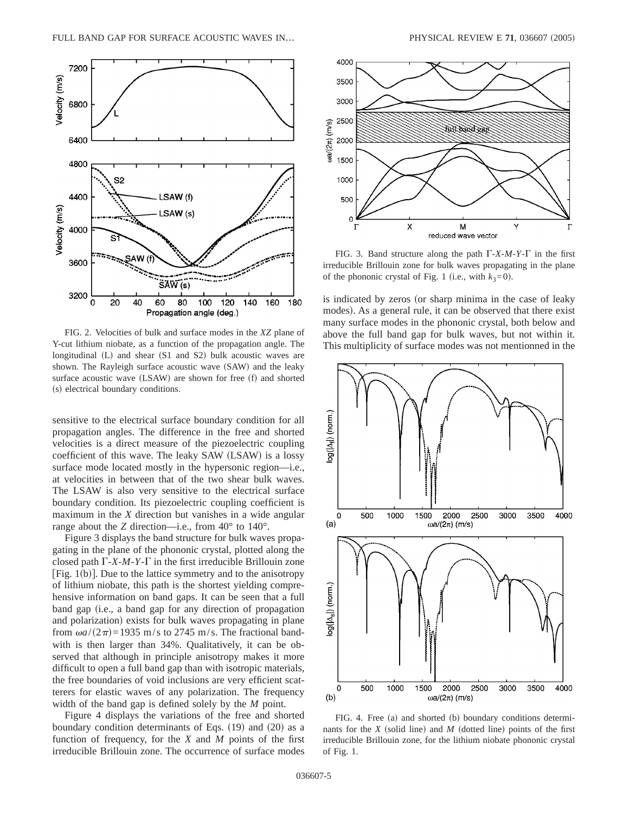

FIG. 2. Velocities of bulk and surface modes in the *XZ* plane of Y-cut lithium niobate, as a function of the propagation angle. The longitudinal  $(L)$  and shear  $(S1$  and  $S2)$  bulk acoustic waves are shown. The Rayleigh surface acoustic wave (SAW) and the leaky surface acoustic wave (LSAW) are shown for free (f) and shorted (s) electrical boundary conditions.

sensitive to the electrical surface boundary condition for all propagation angles. The difference in the free and shorted velocities is a direct measure of the piezoelectric coupling coefficient of this wave. The leaky SAW (LSAW) is a lossy surface mode located mostly in the hypersonic region—i.e., at velocities in between that of the two shear bulk waves. The LSAW is also very sensitive to the electrical surface boundary condition. Its piezoelectric coupling coefficient is maximum in the *X* direction but vanishes in a wide angular range about the *Z* direction—i.e., from  $40^{\circ}$  to  $140^{\circ}$ .

Figure 3 displays the band structure for bulk waves propagating in the plane of the phononic crystal, plotted along the closed path  $\Gamma$ -*X*-*M*-*Y*- $\Gamma$  in the first irreducible Brillouin zone [Fig.  $1(b)$ ]. Due to the lattice symmetry and to the anisotropy of lithium niobate, this path is the shortest yielding comprehensive information on band gaps. It can be seen that a full band gap (i.e., a band gap for any direction of propagation and polarization) exists for bulk waves propagating in plane from  $\omega a/(2\pi)$ =1935 m/s to 2745 m/s. The fractional bandwith is then larger than 34%. Qualitatively, it can be observed that although in principle anisotropy makes it more difficult to open a full band gap than with isotropic materials, the free boundaries of void inclusions are very efficient scatterers for elastic waves of any polarization. The frequency width of the band gap is defined solely by the *M* point.

Figure 4 displays the variations of the free and shorted boundary condition determinants of Eqs.  $(19)$  and  $(20)$  as a function of frequency, for the *X* and *M* points of the first irreducible Brillouin zone. The occurrence of surface modes



FIG. 3. Band structure along the path  $\Gamma$ -*X*-*M*-*Y*- $\Gamma$  in the first irreducible Brillouin zone for bulk waves propagating in the plane of the phononic crystal of Fig. 1 (i.e., with  $k_3=0$ ).

is indicated by zeros (or sharp minima in the case of leaky modes). As a general rule, it can be observed that there exist many surface modes in the phononic crystal, both below and above the full band gap for bulk waves, but not within it. This multiplicity of surface modes was not mentionned in the



FIG. 4. Free (a) and shorted (b) boundary conditions determinants for the  $X$  (solid line) and  $M$  (dotted line) points of the first irreducible Brillouin zone, for the lithium niobate phononic crystal of Fig. 1.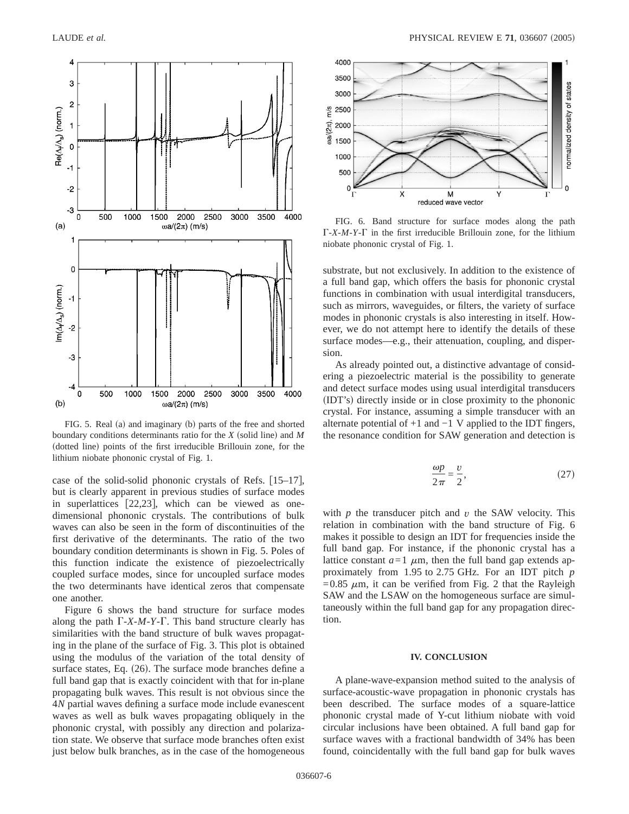

FIG. 5. Real (a) and imaginary (b) parts of the free and shorted boundary conditions determinants ratio for the *X* (solid line) and *M* (dotted line) points of the first irreducible Brillouin zone, for the lithium niobate phononic crystal of Fig. 1.

case of the solid-solid phononic crystals of Refs.  $[15-17]$ , but is clearly apparent in previous studies of surface modes in superlattices  $[22,23]$ , which can be viewed as onedimensional phononic crystals. The contributions of bulk waves can also be seen in the form of discontinuities of the first derivative of the determinants. The ratio of the two boundary condition determinants is shown in Fig. 5. Poles of this function indicate the existence of piezoelectrically coupled surface modes, since for uncoupled surface modes the two determinants have identical zeros that compensate one another.

Figure 6 shows the band structure for surface modes along the path  $\Gamma$ -*X*-*M*-*Y*- $\Gamma$ . This band structure clearly has similarities with the band structure of bulk waves propagating in the plane of the surface of Fig. 3. This plot is obtained using the modulus of the variation of the total density of surface states, Eq.  $(26)$ . The surface mode branches define a full band gap that is exactly coincident with that for in-plane propagating bulk waves. This result is not obvious since the 4*N* partial waves defining a surface mode include evanescent waves as well as bulk waves propagating obliquely in the phononic crystal, with possibly any direction and polarization state. We observe that surface mode branches often exist just below bulk branches, as in the case of the homogeneous



FIG. 6. Band structure for surface modes along the path  $\Gamma$ -*X*-*M*-*Y*- $\Gamma$  in the first irreducible Brillouin zone, for the lithium niobate phononic crystal of Fig. 1.

substrate, but not exclusively. In addition to the existence of a full band gap, which offers the basis for phononic crystal functions in combination with usual interdigital transducers, such as mirrors, waveguides, or filters, the variety of surface modes in phononic crystals is also interesting in itself. However, we do not attempt here to identify the details of these surface modes—e.g., their attenuation, coupling, and dispersion.

As already pointed out, a distinctive advantage of considering a piezoelectric material is the possibility to generate and detect surface modes using usual interdigital transducers (IDT's) directly inside or in close proximity to the phononic crystal. For instance, assuming a simple transducer with an alternate potential of +1 and −1 V applied to the IDT fingers, the resonance condition for SAW generation and detection is

$$
\frac{\omega p}{2\pi} = \frac{v}{2},\tag{27}
$$

with  $p$  the transducer pitch and  $v$  the SAW velocity. This relation in combination with the band structure of Fig. 6 makes it possible to design an IDT for frequencies inside the full band gap. For instance, if the phononic crystal has a lattice constant  $a=1$   $\mu$ m, then the full band gap extends approximately from 1.95 to 2.75 GHz. For an IDT pitch *p*  $=0.85 \mu m$ , it can be verified from Fig. 2 that the Rayleigh SAW and the LSAW on the homogeneous surface are simultaneously within the full band gap for any propagation direction.

# **IV. CONCLUSION**

A plane-wave-expansion method suited to the analysis of surface-acoustic-wave propagation in phononic crystals has been described. The surface modes of a square-lattice phononic crystal made of Y-cut lithium niobate with void circular inclusions have been obtained. A full band gap for surface waves with a fractional bandwidth of 34% has been found, coincidentally with the full band gap for bulk waves